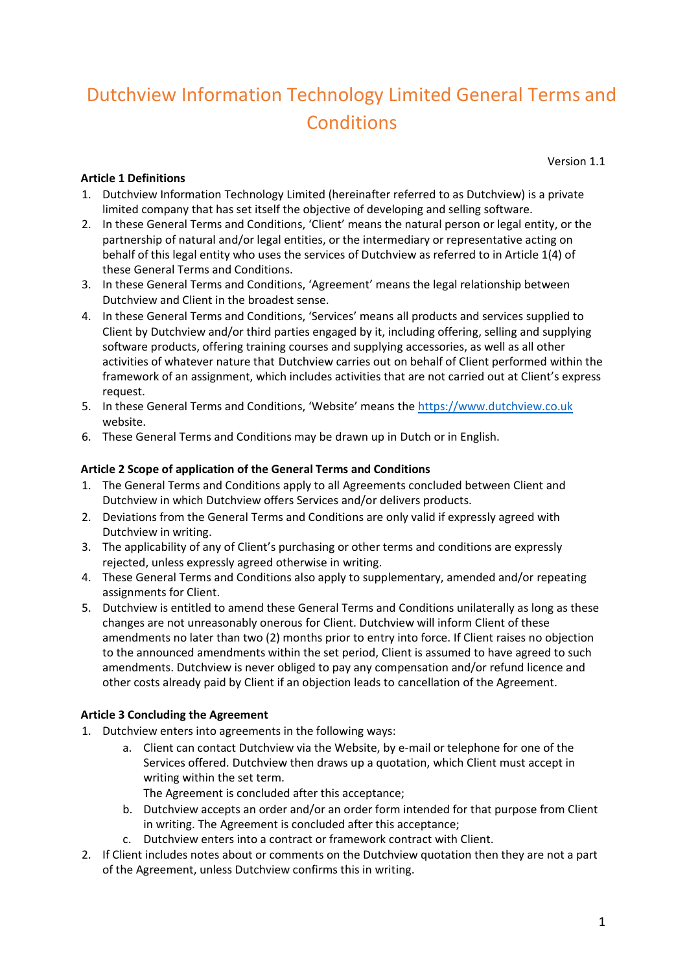# Dutchview Information Technology Limited General Terms and **Conditions**

#### **Article 1 Definitions**

Version 1.1

- 1. Dutchview Information Technology Limited (hereinafter referred to as Dutchview) is a private limited company that has set itself the objective of developing and selling software.
- 2. In these General Terms and Conditions, 'Client' means the natural person or legal entity, or the partnership of natural and/or legal entities, or the intermediary or representative acting on behalf of this legal entity who uses the services of Dutchview as referred to in Article 1(4) of these General Terms and Conditions.
- 3. In these General Terms and Conditions, 'Agreement' means the legal relationship between Dutchview and Client in the broadest sense.
- 4. In these General Terms and Conditions, 'Services' means all products and services supplied to Client by Dutchview and/or third parties engaged by it, including offering, selling and supplying software products, offering training courses and supplying accessories, as well as all other activities of whatever nature that Dutchview carries out on behalf of Client performed within the framework of an assignment, which includes activities that are not carried out at Client's express request.
- 5. In these General Terms and Conditions, 'Website' means the [https://www.dutchview.co.uk](https://www.dutchview.co.uk/) website.
- 6. These General Terms and Conditions may be drawn up in Dutch or in English.

#### **Article 2 Scope of application of the General Terms and Conditions**

- 1. The General Terms and Conditions apply to all Agreements concluded between Client and Dutchview in which Dutchview offers Services and/or delivers products.
- 2. Deviations from the General Terms and Conditions are only valid if expressly agreed with Dutchview in writing.
- 3. The applicability of any of Client's purchasing or other terms and conditions are expressly rejected, unless expressly agreed otherwise in writing.
- 4. These General Terms and Conditions also apply to supplementary, amended and/or repeating assignments for Client.
- 5. Dutchview is entitled to amend these General Terms and Conditions unilaterally as long as these changes are not unreasonably onerous for Client. Dutchview will inform Client of these amendments no later than two (2) months prior to entry into force. If Client raises no objection to the announced amendments within the set period, Client is assumed to have agreed to such amendments. Dutchview is never obliged to pay any compensation and/or refund licence and other costs already paid by Client if an objection leads to cancellation of the Agreement.

#### **Article 3 Concluding the Agreement**

- 1. Dutchview enters into agreements in the following ways:
	- a. Client can contact Dutchview via the Website, by e-mail or telephone for one of the Services offered. Dutchview then draws up a quotation, which Client must accept in writing within the set term.
		- The Agreement is concluded after this acceptance;
	- b. Dutchview accepts an order and/or an order form intended for that purpose from Client in writing. The Agreement is concluded after this acceptance;
	- c. Dutchview enters into a contract or framework contract with Client.
- 2. If Client includes notes about or comments on the Dutchview quotation then they are not a part of the Agreement, unless Dutchview confirms this in writing.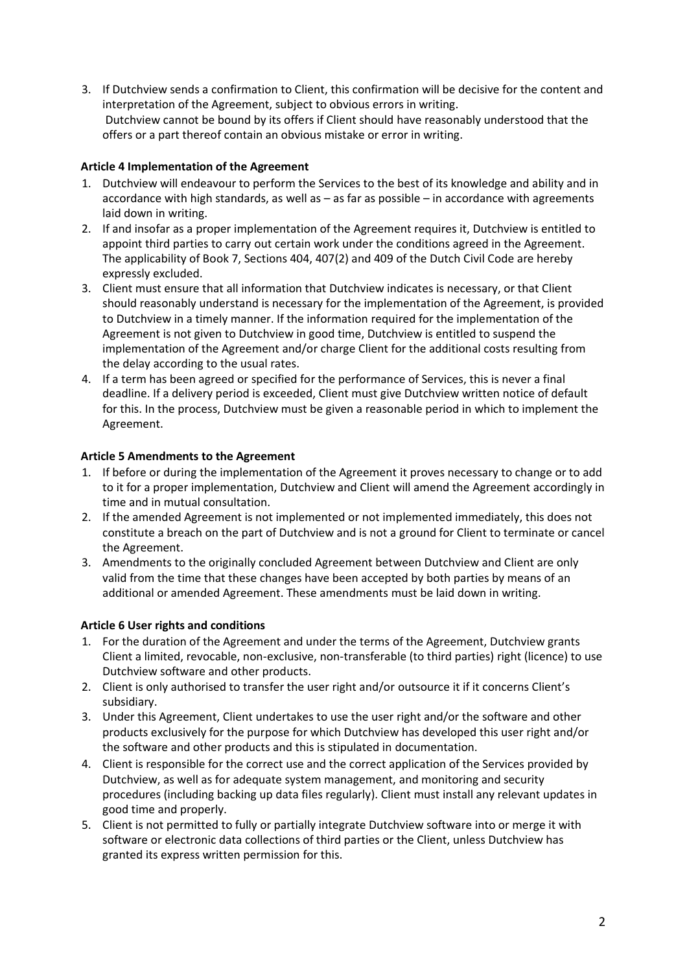3. If Dutchview sends a confirmation to Client, this confirmation will be decisive for the content and interpretation of the Agreement, subject to obvious errors in writing. Dutchview cannot be bound by its offers if Client should have reasonably understood that the offers or a part thereof contain an obvious mistake or error in writing.

### **Article 4 Implementation of the Agreement**

- 1. Dutchview will endeavour to perform the Services to the best of its knowledge and ability and in accordance with high standards, as well as – as far as possible – in accordance with agreements laid down in writing.
- 2. If and insofar as a proper implementation of the Agreement requires it, Dutchview is entitled to appoint third parties to carry out certain work under the conditions agreed in the Agreement. The applicability of Book 7, Sections 404, 407(2) and 409 of the Dutch Civil Code are hereby expressly excluded.
- 3. Client must ensure that all information that Dutchview indicates is necessary, or that Client should reasonably understand is necessary for the implementation of the Agreement, is provided to Dutchview in a timely manner. If the information required for the implementation of the Agreement is not given to Dutchview in good time, Dutchview is entitled to suspend the implementation of the Agreement and/or charge Client for the additional costs resulting from the delay according to the usual rates.
- 4. If a term has been agreed or specified for the performance of Services, this is never a final deadline. If a delivery period is exceeded, Client must give Dutchview written notice of default for this. In the process, Dutchview must be given a reasonable period in which to implement the Agreement.

## **Article 5 Amendments to the Agreement**

- 1. If before or during the implementation of the Agreement it proves necessary to change or to add to it for a proper implementation, Dutchview and Client will amend the Agreement accordingly in time and in mutual consultation.
- 2. If the amended Agreement is not implemented or not implemented immediately, this does not constitute a breach on the part of Dutchview and is not a ground for Client to terminate or cancel the Agreement.
- 3. Amendments to the originally concluded Agreement between Dutchview and Client are only valid from the time that these changes have been accepted by both parties by means of an additional or amended Agreement. These amendments must be laid down in writing.

#### **Article 6 User rights and conditions**

- 1. For the duration of the Agreement and under the terms of the Agreement, Dutchview grants Client a limited, revocable, non-exclusive, non-transferable (to third parties) right (licence) to use Dutchview software and other products.
- 2. Client is only authorised to transfer the user right and/or outsource it if it concerns Client's subsidiary.
- 3. Under this Agreement, Client undertakes to use the user right and/or the software and other products exclusively for the purpose for which Dutchview has developed this user right and/or the software and other products and this is stipulated in documentation.
- 4. Client is responsible for the correct use and the correct application of the Services provided by Dutchview, as well as for adequate system management, and monitoring and security procedures (including backing up data files regularly). Client must install any relevant updates in good time and properly.
- 5. Client is not permitted to fully or partially integrate Dutchview software into or merge it with software or electronic data collections of third parties or the Client, unless Dutchview has granted its express written permission for this.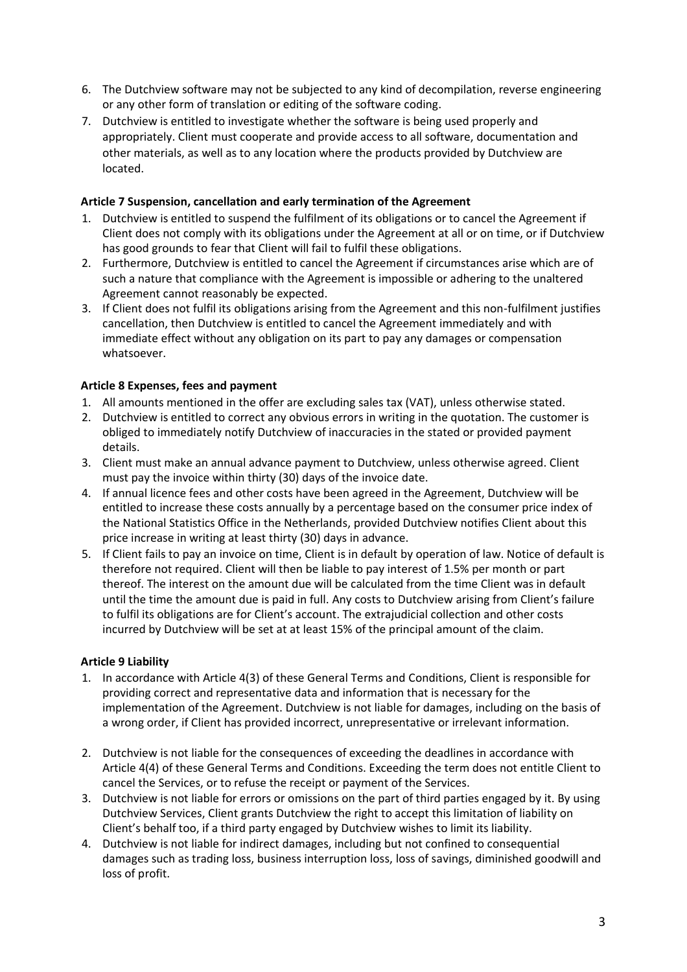- 6. The Dutchview software may not be subjected to any kind of decompilation, reverse engineering or any other form of translation or editing of the software coding.
- 7. Dutchview is entitled to investigate whether the software is being used properly and appropriately. Client must cooperate and provide access to all software, documentation and other materials, as well as to any location where the products provided by Dutchview are located.

#### **Article 7 Suspension, cancellation and early termination of the Agreement**

- 1. Dutchview is entitled to suspend the fulfilment of its obligations or to cancel the Agreement if Client does not comply with its obligations under the Agreement at all or on time, or if Dutchview has good grounds to fear that Client will fail to fulfil these obligations.
- 2. Furthermore, Dutchview is entitled to cancel the Agreement if circumstances arise which are of such a nature that compliance with the Agreement is impossible or adhering to the unaltered Agreement cannot reasonably be expected.
- 3. If Client does not fulfil its obligations arising from the Agreement and this non-fulfilment justifies cancellation, then Dutchview is entitled to cancel the Agreement immediately and with immediate effect without any obligation on its part to pay any damages or compensation whatsoever.

#### **Article 8 Expenses, fees and payment**

- 1. All amounts mentioned in the offer are excluding sales tax (VAT), unless otherwise stated.
- 2. Dutchview is entitled to correct any obvious errors in writing in the quotation. The customer is obliged to immediately notify Dutchview of inaccuracies in the stated or provided payment details.
- 3. Client must make an annual advance payment to Dutchview, unless otherwise agreed. Client must pay the invoice within thirty (30) days of the invoice date.
- 4. If annual licence fees and other costs have been agreed in the Agreement, Dutchview will be entitled to increase these costs annually by a percentage based on the consumer price index of the National Statistics Office in the Netherlands, provided Dutchview notifies Client about this price increase in writing at least thirty (30) days in advance.
- 5. If Client fails to pay an invoice on time, Client is in default by operation of law. Notice of default is therefore not required. Client will then be liable to pay interest of 1.5% per month or part thereof. The interest on the amount due will be calculated from the time Client was in default until the time the amount due is paid in full. Any costs to Dutchview arising from Client's failure to fulfil its obligations are for Client's account. The extrajudicial collection and other costs incurred by Dutchview will be set at at least 15% of the principal amount of the claim.

#### **Article 9 Liability**

- 1. In accordance with Article 4(3) of these General Terms and Conditions, Client is responsible for providing correct and representative data and information that is necessary for the implementation of the Agreement. Dutchview is not liable for damages, including on the basis of a wrong order, if Client has provided incorrect, unrepresentative or irrelevant information.
- 2. Dutchview is not liable for the consequences of exceeding the deadlines in accordance with Article 4(4) of these General Terms and Conditions. Exceeding the term does not entitle Client to cancel the Services, or to refuse the receipt or payment of the Services.
- 3. Dutchview is not liable for errors or omissions on the part of third parties engaged by it. By using Dutchview Services, Client grants Dutchview the right to accept this limitation of liability on Client's behalf too, if a third party engaged by Dutchview wishes to limit its liability.
- 4. Dutchview is not liable for indirect damages, including but not confined to consequential damages such as trading loss, business interruption loss, loss of savings, diminished goodwill and loss of profit.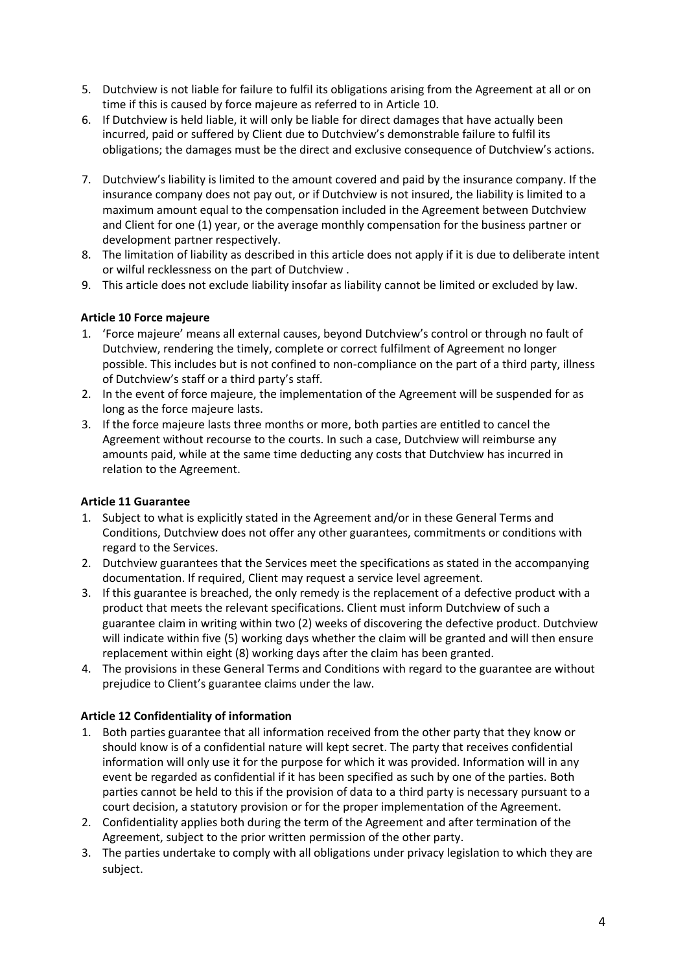- 5. Dutchview is not liable for failure to fulfil its obligations arising from the Agreement at all or on time if this is caused by force majeure as referred to in Article 10.
- 6. If Dutchview is held liable, it will only be liable for direct damages that have actually been incurred, paid or suffered by Client due to Dutchview's demonstrable failure to fulfil its obligations; the damages must be the direct and exclusive consequence of Dutchview's actions.
- 7. Dutchview's liability is limited to the amount covered and paid by the insurance company. If the insurance company does not pay out, or if Dutchview is not insured, the liability is limited to a maximum amount equal to the compensation included in the Agreement between Dutchview and Client for one (1) year, or the average monthly compensation for the business partner or development partner respectively.
- 8. The limitation of liability as described in this article does not apply if it is due to deliberate intent or wilful recklessness on the part of Dutchview .
- 9. This article does not exclude liability insofar as liability cannot be limited or excluded by law.

#### **Article 10 Force majeure**

- 1. 'Force majeure' means all external causes, beyond Dutchview's control or through no fault of Dutchview, rendering the timely, complete or correct fulfilment of Agreement no longer possible. This includes but is not confined to non-compliance on the part of a third party, illness of Dutchview's staff or a third party's staff.
- 2. In the event of force majeure, the implementation of the Agreement will be suspended for as long as the force majeure lasts.
- 3. If the force majeure lasts three months or more, both parties are entitled to cancel the Agreement without recourse to the courts. In such a case, Dutchview will reimburse any amounts paid, while at the same time deducting any costs that Dutchview has incurred in relation to the Agreement.

#### **Article 11 Guarantee**

- 1. Subject to what is explicitly stated in the Agreement and/or in these General Terms and Conditions, Dutchview does not offer any other guarantees, commitments or conditions with regard to the Services.
- 2. Dutchview guarantees that the Services meet the specifications as stated in the accompanying documentation. If required, Client may request a service level agreement.
- 3. If this guarantee is breached, the only remedy is the replacement of a defective product with a product that meets the relevant specifications. Client must inform Dutchview of such a guarantee claim in writing within two (2) weeks of discovering the defective product. Dutchview will indicate within five (5) working days whether the claim will be granted and will then ensure replacement within eight (8) working days after the claim has been granted.
- 4. The provisions in these General Terms and Conditions with regard to the guarantee are without prejudice to Client's guarantee claims under the law.

#### **Article 12 Confidentiality of information**

- 1. Both parties guarantee that all information received from the other party that they know or should know is of a confidential nature will kept secret. The party that receives confidential information will only use it for the purpose for which it was provided. Information will in any event be regarded as confidential if it has been specified as such by one of the parties. Both parties cannot be held to this if the provision of data to a third party is necessary pursuant to a court decision, a statutory provision or for the proper implementation of the Agreement.
- 2. Confidentiality applies both during the term of the Agreement and after termination of the Agreement, subject to the prior written permission of the other party.
- 3. The parties undertake to comply with all obligations under privacy legislation to which they are subject.